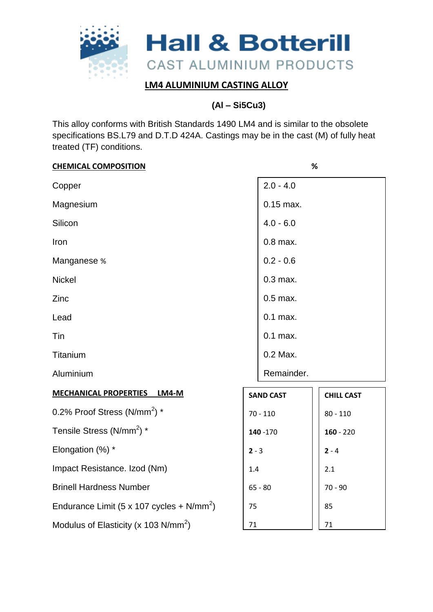

# **(Al – Si5Cu3)**

This alloy conforms with British Standards 1490 LM4 and is similar to the obsolete specifications BS.L79 and D.T.D 424A. Castings may be in the cast (M) of fully heat treated (TF) conditions.

| <b>CHEMICAL COMPOSITION</b>                      |            | %                |                   |  |
|--------------------------------------------------|------------|------------------|-------------------|--|
| Copper                                           |            | $2.0 - 4.0$      |                   |  |
| Magnesium                                        |            | $0.15$ max.      |                   |  |
| Silicon                                          |            | $4.0 - 6.0$      |                   |  |
| Iron                                             |            | $0.8$ max.       |                   |  |
| Manganese %                                      |            | $0.2 - 0.6$      |                   |  |
| <b>Nickel</b>                                    |            | $0.3$ max.       |                   |  |
| Zinc                                             |            | $0.5$ max.       |                   |  |
| Lead                                             |            | $0.1$ max.       |                   |  |
| Tin                                              |            | $0.1$ max.       |                   |  |
| Titanium                                         |            | 0.2 Max.         |                   |  |
| Aluminium                                        |            | Remainder.       |                   |  |
| <b>MECHANICAL PROPERTIES</b><br><b>LM4-M</b>     |            | <b>SAND CAST</b> | <b>CHILL CAST</b> |  |
| 0.2% Proof Stress (N/mm <sup>2</sup> ) *         | $70 - 110$ |                  | $80 - 110$        |  |
| Tensile Stress (N/mm <sup>2</sup> ) *            | 140 - 170  |                  | $160 - 220$       |  |
| Elongation (%) *                                 | $2 - 3$    |                  | $2 - 4$           |  |
| Impact Resistance. Izod (Nm)                     | 1.4        |                  | 2.1               |  |
| <b>Brinell Hardness Number</b>                   | $65 - 80$  |                  | $70 - 90$         |  |
| Endurance Limit (5 x 107 cycles + $N/mm^2$ )     | 75         |                  | 85                |  |
| Modulus of Elasticity (x 103 N/mm <sup>2</sup> ) | $71\,$     |                  | 71                |  |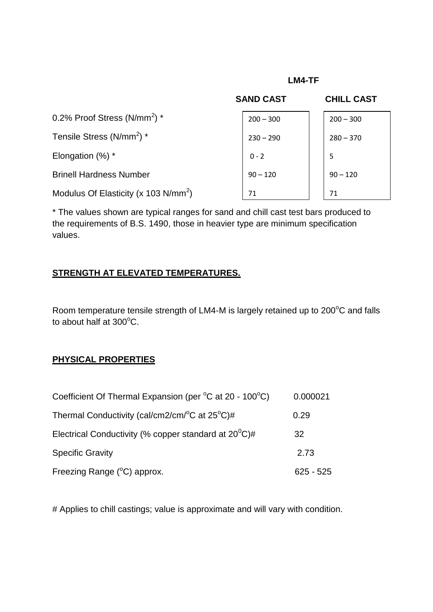#### **LM4-TF**

|                                                  | <b>SAND CAST</b> | <b>CHILL CAST</b> |
|--------------------------------------------------|------------------|-------------------|
| 0.2% Proof Stress (N/mm <sup>2</sup> ) *         | $200 - 300$      | $200 - 300$       |
| Tensile Stress (N/mm <sup>2</sup> ) *            | $230 - 290$      | $280 - 370$       |
| Elongation $(\%)^*$                              | $0 - 2$          | 5                 |
| <b>Brinell Hardness Number</b>                   | $90 - 120$       | $90 - 120$        |
| Modulus Of Elasticity (x 103 N/mm <sup>2</sup> ) | 71               | 71                |

\* The values shown are typical ranges for sand and chill cast test bars produced to the requirements of B.S. 1490, those in heavier type are minimum specification values.

#### **STRENGTH AT ELEVATED TEMPERATURES.**

Room temperature tensile strength of LM4-M is largely retained up to 200°C and falls to about half at  $300^{\circ}$ C.

# **PHYSICAL PROPERTIES**

| Coefficient Of Thermal Expansion (per °C at 20 - 100°C)          | 0.000021    |
|------------------------------------------------------------------|-------------|
| Thermal Conductivity (cal/cm2/cm/ $\rm{^o}C$ at 25 $\rm{^o}C$ )# | 0.29        |
| Electrical Conductivity (% copper standard at $20^0$ C)#         | 32          |
| <b>Specific Gravity</b>                                          | 2.73        |
| Freezing Range $(^{\circ}C)$ approx.                             | $625 - 525$ |

# Applies to chill castings; value is approximate and will vary with condition.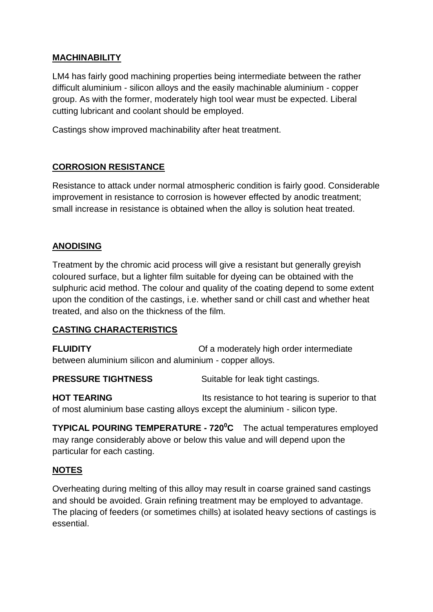#### **MACHINABILITY**

LM4 has fairly good machining properties being intermediate between the rather difficult aluminium - silicon alloys and the easily machinable aluminium - copper group. As with the former, moderately high tool wear must be expected. Liberal cutting lubricant and coolant should be employed.

Castings show improved machinability after heat treatment.

#### **CORROSION RESISTANCE**

Resistance to attack under normal atmospheric condition is fairly good. Considerable improvement in resistance to corrosion is however effected by anodic treatment; small increase in resistance is obtained when the alloy is solution heat treated.

### **ANODISING**

Treatment by the chromic acid process will give a resistant but generally greyish coloured surface, but a lighter film suitable for dyeing can be obtained with the sulphuric acid method. The colour and quality of the coating depend to some extent upon the condition of the castings, i.e. whether sand or chill cast and whether heat treated, and also on the thickness of the film.

#### **CASTING CHARACTERISTICS**

**FLUIDITY Comparished Comparished Comparished Comparished Comparished Comparished Comparished Comparished Comparished Comparished Comparished Comparished Comparished Comparished Comparished Comparished Comparished Compar** between aluminium silicon and aluminium - copper alloys.

**PRESSURE TIGHTNESS** Suitable for leak tight castings.

**HOT TEARING** Its resistance to hot tearing is superior to that of most aluminium base casting alloys except the aluminium - silicon type.

**TYPICAL POURING TEMPERATURE - 720<sup>0</sup>C** The actual temperatures employed may range considerably above or below this value and will depend upon the particular for each casting.

#### **NOTES**

Overheating during melting of this alloy may result in coarse grained sand castings and should be avoided. Grain refining treatment may be employed to advantage. The placing of feeders (or sometimes chills) at isolated heavy sections of castings is essential.